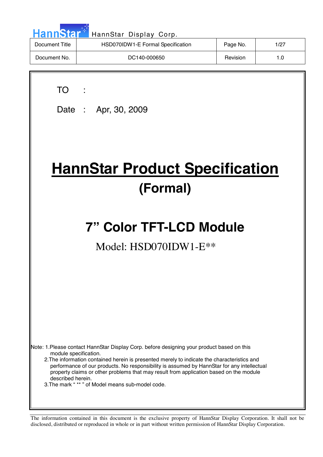| <b>HannStar</b> | HannStar Display Corp.            |          |      |
|-----------------|-----------------------------------|----------|------|
| Document Title  | HSD070IDW1-E Formal Specification | Page No. | 1/27 |
| Document No.    | DC140-000650                      | Revision | 1.0  |

TO :

 $\overline{\phantom{a}}$ 

Date : Apr, 30, 2009

# **HannStar Product Specification (Formal)**

# **7" Color TFT-LCD Module**

# Model: HSD070IDW1-E\*\*

Note: 1.Please contact HannStar Display Corp. before designing your product based on this module specification.

 2.The information contained herein is presented merely to indicate the characteristics and performance of our products. No responsibility is assumed by HannStar for any intellectual property claims or other problems that may result from application based on the module described herein.

3.The mark " \*\* " of Model means sub-model code.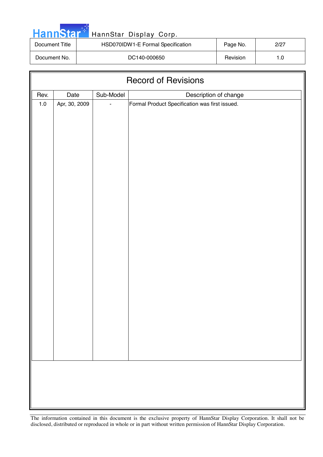| HannStar <sup>*</sup> | HannStar Display Corp.            |                 |      |
|-----------------------|-----------------------------------|-----------------|------|
| Document Title        | HSD070IDW1-E Formal Specification | Page No.        | 2/27 |
| Document No.          | DC140-000650                      | <b>Revision</b> | 1.0  |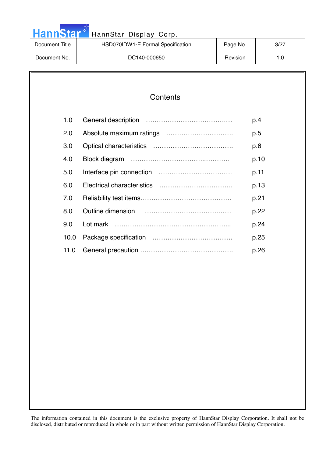| HannStar <sup>*</sup> | HannStar Display Corp.            |          |      |
|-----------------------|-----------------------------------|----------|------|
| Document Title        | HSD070IDW1-E Formal Specification | Page No. | 3/27 |
| Document No.          | DC140-000650                      | Revision | 1.0  |

والمرار

| Contents |
|----------|
|----------|

| 1.0  | p.4  |
|------|------|
| 2.0  | p.5  |
| 3.0  | p.6  |
| 4.0  | p.10 |
| 5.0  | p.11 |
| 6.0  | p.13 |
| 7.0  | p.21 |
| 8.0  | p.22 |
| 9.0  | p.24 |
| 10.0 | p.25 |
| 11.0 | p.26 |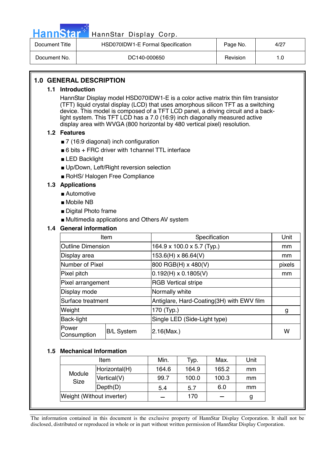

# Hann Star<sup>#T</sup> HannStar Display Corp.

| Document Title | HSD070IDW1-E Formal Specification | Page No. | 4/27 |
|----------------|-----------------------------------|----------|------|
| Document No.   | DC140-000650                      | Revision | 1.0  |

# **1.0 GENERAL DESCRIPTION**

### **1.1 Introduction**

HannStar Display model HSD070IDW1-E is a color active matrix thin film transistor (TFT) liquid crystal display (LCD) that uses amorphous silicon TFT as a switching device. This model is composed of a TFT LCD panel, a driving circuit and a backlight system. This TFT LCD has a 7.0 (16:9) inch diagonally measured active display area with WVGA (800 horizontal by 480 vertical pixel) resolution.

### **1.2 Features**

- 7 (16:9 diagonal) inch configuration
- $\blacksquare$  6 bits + FRC driver with 1 channel TTL interface
- LED Backlight
- Up/Down, Left/Right reversion selection
- RoHS/ Halogen Free Compliance

# **1.3 Applications**

- Automotive
- Mobile NB
- Digital Photo frame
- Multimedia applications and Others AV system

## **1.4 General information**

| Item                     |                   | Specification                             | Unit   |
|--------------------------|-------------------|-------------------------------------------|--------|
| <b>Outline Dimension</b> |                   | 164.9 x 100.0 x 5.7 (Typ.)                | mm     |
| Display area             |                   | 153.6(H) x 86.64(V)                       | mm     |
| Number of Pixel          |                   | 800 RGB(H) x 480(V)                       | pixels |
| Pixel pitch              |                   | $0.192(H) \times 0.1805(V)$               | mm     |
| Pixel arrangement        |                   | <b>RGB Vertical stripe</b>                |        |
| Display mode             |                   | Normally white                            |        |
| Surface treatment        |                   | Antiglare, Hard-Coating(3H) with EWV film |        |
| Weight                   |                   | 170 (Typ.)                                | g      |
| Back-light               |                   | Single LED (Side-Light type)              |        |
| Power<br>Consumption     | <b>B/L System</b> | $2.16$ (Max.)                             | W      |

### **1.5 Mechanical Information**

|                           | Item          | Min.  | Typ.  | Max.  | Unit |
|---------------------------|---------------|-------|-------|-------|------|
|                           | Horizontal(H) | 164.6 | 164.9 | 165.2 | mm   |
| Module<br><b>Size</b>     | Vertical(V)   | 99.7  | 100.0 | 100.3 | mm   |
|                           | Depth(D)      | 5.4   | 5.7   | 6.0   | mm   |
| Weight (Without inverter) |               |       | 170   |       |      |
|                           |               |       |       |       |      |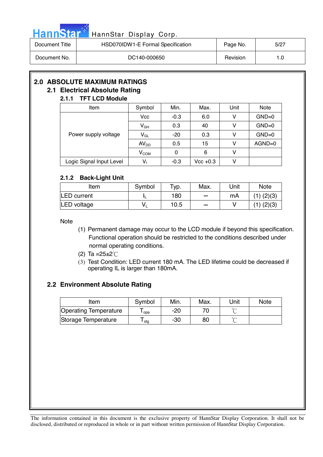|  | HannStar <sup>*</sup> |  |
|--|-----------------------|--|
|  |                       |  |
|  |                       |  |

# HannStar Display Corp.

| Document Title | HSD070IDW1-E Formal Specification | Page No. | 5/27 |
|----------------|-----------------------------------|----------|------|
| Document No.   | DC140-000650                      | Revision |      |

# **2.0 ABSOLUTE MAXIMUM RATINGS**

### **2.1 Electrical Absolute Rating 2.1.1 TFT LCD Module**

# Item  $\vert$  Symbol | Min. | Max. | Unit | Note  $Vcc$  -0.3 6.0 V GND=0  $V_{GH}$  0.3 40 V GND=0  $V_{\text{GL}}$  -20 0.3 V GND=0  $AV_{DD}$  0.5 15 V AGND=0 Power supply voltage  $V_{COM}$  0 6 V Logic Signal Input Level  $\begin{vmatrix} 1 & 1 \\ 0 & 1 \end{vmatrix}$  -0.3  $\begin{vmatrix} 1 & 1 \\ 0 & -0.3 \end{vmatrix}$  Vcc +0.3  $\begin{vmatrix} 1 & 1 \\ 0 & 1 \end{vmatrix}$

# **2.1.2 Back-Light Unit**

| -                  |        |      |                          |      |                |
|--------------------|--------|------|--------------------------|------|----------------|
| ltem               | Symbol | Typ. | Max.                     | Unit | <b>Note</b>    |
| <b>LED</b> current |        | 180  | $\sim$                   | mA   | $(1)$ $(2)(3)$ |
| <b>LED</b> voltage | V      | 10.5 | $\overline{\phantom{a}}$ |      | $(1)$ $(2)(3)$ |

**Note** 

- (1) Permanent damage may occur to the LCD module if beyond this specification. Functional operation should be restricted to the conditions described under normal operating conditions.
- (2) Ta = $25 \pm 2^{\circ}$ C
- (3) Test Condition: LED current 180 mA. The LED lifetime could be decreased if operating IL is larger than 180mA.

# **2.2 Environment Absolute Rating**

| Item                         | Symbol | Min.  | Max. | 'Jnit  | <b>Note</b> |
|------------------------------|--------|-------|------|--------|-------------|
| <b>Operating Temperature</b> | opa    | $-20$ |      |        |             |
| Storage Temperature          | ⊹stq   | -30   | 80   | $\sim$ |             |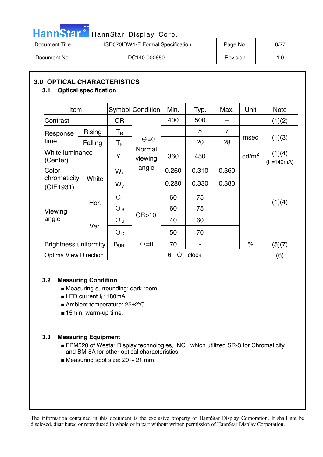

# HannStar<sup>t HannStar</sup> Display Corp.

| Document Title | HSD070IDW1-E Formal Specification | Page No. | 6/27 |
|----------------|-----------------------------------|----------|------|
| Document No.   | DC140-000650                      | Revision |      |

# **3.0 OPTICAL CHARACTERISTICS**

# **3.1 Optical specification**

| Item                               |         |                       | Symbol Condition  | Min.  | Typ.  | Max.           | Unit                 | <b>Note</b>               |  |
|------------------------------------|---------|-----------------------|-------------------|-------|-------|----------------|----------------------|---------------------------|--|
| Contrast                           |         | <b>CR</b>             |                   | 400   | 500   |                |                      | (1)(2)                    |  |
| Response                           | Rising  | $T_{\sf R}$           |                   |       | 5     | $\overline{7}$ |                      |                           |  |
| time                               | Falling | $T_F$                 | $\Theta = 0$      |       | 20    | 28             | msec                 | (1)(3)                    |  |
| White luminance<br>(Center)        |         | $Y_L$                 | Normal<br>viewing | 360   | 450   |                | $\text{cd/m}^2$      | (1)(4)<br>$(l_L = 140mA)$ |  |
| Color                              |         |                       | angle             | 0.260 | 0.310 | 0.360          |                      |                           |  |
| chromaticity<br>White<br>(CIE1931) |         | $W_{v}$               |                   | 0.280 | 0.330 | 0.380          |                      |                           |  |
|                                    | Hor.    | $\Theta_L$            |                   | 60    | 75    |                |                      |                           |  |
| Viewing                            |         | $\Theta_{\rm R}$      |                   | 60    | 75    |                |                      | (1)(4)                    |  |
| angle                              | Ver.    | $\Theta$ u            | CR > 10           | 40    | 60    |                |                      |                           |  |
|                                    |         | $\Theta_{\mathsf{D}}$ |                   | 50    | 70    |                |                      |                           |  |
| <b>Brightness uniformity</b>       |         | B <sub>UNI</sub>      | $\Theta = 0$      | 70    | -     |                | $\frac{1}{\sqrt{2}}$ | (5)(7)                    |  |
| <b>Optima View Direction</b>       |         |                       | O'<br>6<br>clock  |       |       |                |                      |                           |  |

# **3.2 Measuring Condition**

- Measuring surrounding: dark room
- **ELED current**  $I_L$ **: 180mA**
- Ambient temperature: 25±2°C
- 15min. warm-up time.

# **3.3 Measuring Equipment**

- FPM520 of Westar Display technologies, INC., which utilized SR-3 for Chromaticity and BM-5A for other optical characteristics.
- Measuring spot size:  $20 \sim 21$  mm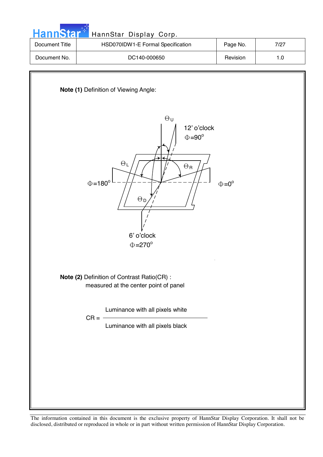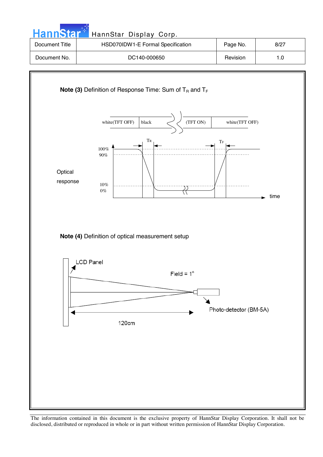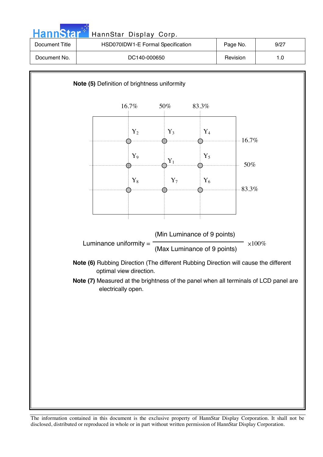

The information contained in this document is the exclusive property of HannStar Display Corporation. It shall not be disclosed, distributed or reproduced in whole or in part without written permission of HannStar Display Corporation.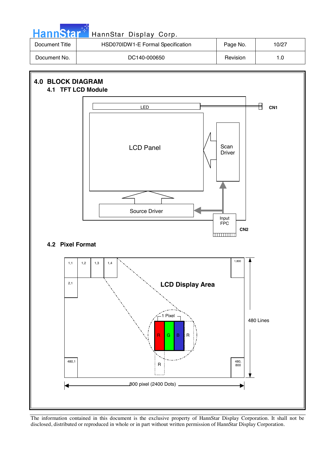

<sup>480,</sup>  800 800 pixel (2400 Dots) 480,1 R

 $G \mid B$ 

R

480 Lines

The information contained in this document is the exclusive property of HannStar Display Corporation. It shall not be disclosed, distributed or reproduced in whole or in part without written permission of HannStar Display Corporation.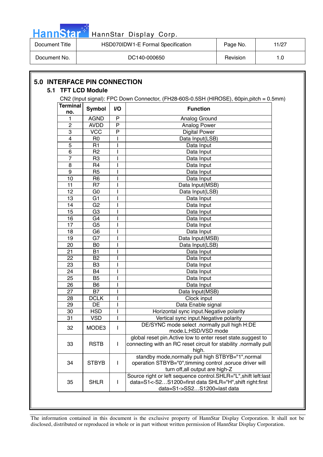|  |  | HannStar <b>*</b> |  |
|--|--|-------------------|--|
|  |  |                   |  |
|  |  |                   |  |

# HannStar Display Corp.

| Document Title | HSD070IDW1-E Formal Specification |          | 11/27 |
|----------------|-----------------------------------|----------|-------|
| Document No.   | DC140-000650                      | Revision | 1.0   |

|                        |                 |                | CN2 (Input signal): FPC Down Connector, (FH28-60S-0.5SH (HIROSE), 60pin, pitch = 0.5mm)                                                                    |  |
|------------------------|-----------------|----------------|------------------------------------------------------------------------------------------------------------------------------------------------------------|--|
| <b>Terminal</b><br>no. | <b>Symbol</b>   | I/O            | <b>Function</b>                                                                                                                                            |  |
| 1                      | <b>AGND</b>     | $\mathsf{P}$   | Analog Ground                                                                                                                                              |  |
| 2                      | <b>AVDD</b>     | $\overline{P}$ | Analog Power                                                                                                                                               |  |
| 3                      | <b>VCC</b>      | P              | <b>Digital Power</b>                                                                                                                                       |  |
| 4                      | R <sub>0</sub>  |                | Data Input(LSB)                                                                                                                                            |  |
| $\overline{5}$         | R1              |                | Data Input                                                                                                                                                 |  |
| 6                      | R <sub>2</sub>  |                | Data Input                                                                                                                                                 |  |
| 7                      | R <sub>3</sub>  |                | Data Input                                                                                                                                                 |  |
| 8                      | R <sub>4</sub>  |                | Data Input                                                                                                                                                 |  |
| 9                      | R <sub>5</sub>  |                | Data Input                                                                                                                                                 |  |
| 10                     | R <sub>6</sub>  |                | Data Input                                                                                                                                                 |  |
| 11                     | R <sub>7</sub>  |                | Data Input(MSB)                                                                                                                                            |  |
| 12                     | G <sub>0</sub>  |                | Data Input(LSB)                                                                                                                                            |  |
| 13                     | G <sub>1</sub>  |                | Data Input                                                                                                                                                 |  |
| 14                     | $\overline{G2}$ | I              | Data Input                                                                                                                                                 |  |
| 15                     | G <sub>3</sub>  |                | Data Input                                                                                                                                                 |  |
| 16                     | G4              |                | Data Input                                                                                                                                                 |  |
| 17                     | G <sub>5</sub>  |                | Data Input                                                                                                                                                 |  |
| 18                     | G <sub>6</sub>  |                | Data Input                                                                                                                                                 |  |
| 19                     | G7              |                | Data Input(MSB)                                                                                                                                            |  |
| $\overline{20}$        | B <sub>0</sub>  |                | Data Input(LSB)                                                                                                                                            |  |
| 21                     | <b>B1</b>       |                | Data Input                                                                                                                                                 |  |
| 22                     | B <sub>2</sub>  |                | Data Input                                                                                                                                                 |  |
| 23                     | B <sub>3</sub>  |                | Data Input                                                                                                                                                 |  |
| 24                     | B4              |                | Data Input                                                                                                                                                 |  |
| 25                     | B <sub>5</sub>  |                | Data Input                                                                                                                                                 |  |
| 26                     | B <sub>6</sub>  |                | Data Input                                                                                                                                                 |  |
| 27                     | <b>B7</b>       |                | Data Input(MSB)                                                                                                                                            |  |
| 28                     | <b>DCLK</b>     |                | Clock input                                                                                                                                                |  |
| 29                     | DE              |                | Data Enable signal                                                                                                                                         |  |
| 30                     | <b>HSD</b>      |                | Horizontal sync input. Negative polarity                                                                                                                   |  |
| 31                     | <b>VSD</b>      |                | Vertical sync input. Negative polarity                                                                                                                     |  |
| 32                     | MODE3           | L              | DE/SYNC mode select .normally pull high H:DE<br>mode.L:HSD/VSD mode                                                                                        |  |
| 33                     | <b>RSTB</b>     | L              | global reset pin. Active low to enter reset state. suggest to<br>connecting with an RC reset circuit for stability .normally pull<br>high.                 |  |
| 34                     | <b>STBYB</b>    | L              | standby mode, normally pull high STBYB="1", normal<br>operation STBYB="0", timming control, soruce driver will<br>turn off, all output are high-Z          |  |
| 35                     | <b>SHLR</b>     | L              | Source right or left sequence control. SHLR="L", shift left:last<br>data=S1<-S2S1200=first data SHLR="H", shift right:first<br>data=S1->SS2S1200=last data |  |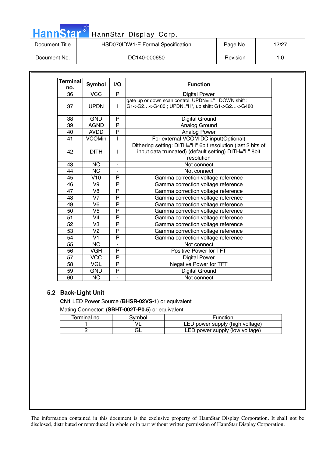# HannStar<sup>t HannStar Display Corp.</sup> 2006. 2007.

| Document Title | HSD070IDW1-E Formal Specification | Page No. | 12/27 |
|----------------|-----------------------------------|----------|-------|
| Document No.   | DC140-000650                      | Revision | 1.0   |

| <b>Terminal</b> | <b>Symbol</b><br>V <sub>O</sub><br><b>Function</b> |                                                                                                                                                    |                                                                                                       |  |  |  |
|-----------------|----------------------------------------------------|----------------------------------------------------------------------------------------------------------------------------------------------------|-------------------------------------------------------------------------------------------------------|--|--|--|
| no.             |                                                    | P                                                                                                                                                  |                                                                                                       |  |  |  |
| 36              | <b>VCC</b>                                         |                                                                                                                                                    | <b>Digital Power</b>                                                                                  |  |  |  |
| 37              | <b>UPDN</b>                                        | $\mathbf{I}$                                                                                                                                       | gate up or down scan control. UPDN="L", DOWN shift:<br>G1->G2->G480; UPDN="H", up shift: G1<-G2<-G480 |  |  |  |
| 38              | <b>GND</b>                                         | P                                                                                                                                                  | Digital Ground                                                                                        |  |  |  |
| 39              | <b>AGND</b>                                        | P                                                                                                                                                  | Analog Ground                                                                                         |  |  |  |
| 40              | <b>AVDD</b>                                        | $\overline{\mathsf{P}}$                                                                                                                            | Analog Power                                                                                          |  |  |  |
| 41              | <b>VCOMin</b>                                      | I                                                                                                                                                  | For external VCOM DC input(Optional)                                                                  |  |  |  |
| 42              | <b>DITH</b>                                        | Dithering setting: DITH="H" 6bit resolution (last 2 bits of<br>input data truncated) (default setting) DITH="L" 8bit<br>$\mathbf{I}$<br>resolution |                                                                                                       |  |  |  |
| 43              | <b>NC</b>                                          | $\blacksquare$                                                                                                                                     | Not connect                                                                                           |  |  |  |
| 44              | <b>NC</b>                                          |                                                                                                                                                    | Not connect                                                                                           |  |  |  |
| 45              | V10                                                | P                                                                                                                                                  | Gamma correction voltage reference                                                                    |  |  |  |
| 46              | V <sub>9</sub>                                     | P                                                                                                                                                  | Gamma correction voltage reference                                                                    |  |  |  |
| 47              | V8                                                 | P                                                                                                                                                  | Gamma correction voltage reference                                                                    |  |  |  |
| 48              | V <sub>7</sub>                                     | P                                                                                                                                                  | Gamma correction voltage reference                                                                    |  |  |  |
| 49              | V <sub>6</sub>                                     | P                                                                                                                                                  | Gamma correction voltage reference                                                                    |  |  |  |
| 50              | V <sub>5</sub>                                     | P                                                                                                                                                  | Gamma correction voltage reference                                                                    |  |  |  |
| 51              | V <sub>4</sub>                                     | P                                                                                                                                                  | Gamma correction voltage reference                                                                    |  |  |  |
| 52              | V <sub>3</sub>                                     | P                                                                                                                                                  | Gamma correction voltage reference                                                                    |  |  |  |
| 53              | V <sub>2</sub>                                     | P                                                                                                                                                  | Gamma correction voltage reference                                                                    |  |  |  |
| 54              | V <sub>1</sub>                                     | P                                                                                                                                                  | Gamma correction voltage reference                                                                    |  |  |  |
| 55              | <b>NC</b>                                          |                                                                                                                                                    | Not connect                                                                                           |  |  |  |
| 56              | <b>VGH</b>                                         | P                                                                                                                                                  | Positive Power for TFT                                                                                |  |  |  |
| 57              | <b>VCC</b>                                         | $\overline{\mathsf{P}}$                                                                                                                            | <b>Digital Power</b>                                                                                  |  |  |  |
| 58              | <b>VGL</b>                                         | P                                                                                                                                                  | Negative Power for TFT                                                                                |  |  |  |
| 59              | <b>GND</b>                                         | P                                                                                                                                                  | <b>Digital Ground</b>                                                                                 |  |  |  |
| 60              | <b>NC</b>                                          |                                                                                                                                                    | Not connect                                                                                           |  |  |  |

# **5.2 Back-Light Unit**

**CN1** LED Power Source (**BHSR-02VS-1**) or equivalent Mating Connector: (**SBHT-002T-P0.5**) or equivalent

| Terminal no. | symbol | Function                        |
|--------------|--------|---------------------------------|
|              |        | LED power supply (high voltage) |
|              |        | LED power supply (low voltage)  |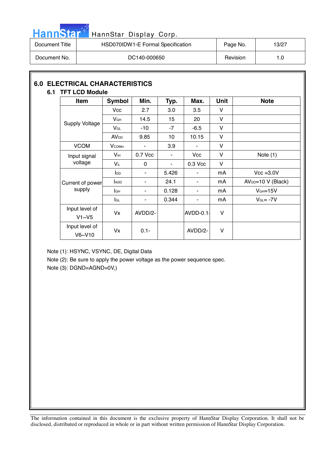

# HannStar<sup>t HannStar Display Corp.</sup>

| Document Title | HSD070IDW1-E Formal Specification | Page No. | 13/27 |
|----------------|-----------------------------------|----------|-------|
| Document No.   | DC140-000650                      | Revision | 1.0   |

# **6.0 ELECTRICAL CHARACTERISTICS 6.1 TFT LCD Module**

| Item                     | <b>Symbol</b>           | Min.     | Typ.           | Max.           | <b>Unit</b> | <b>Note</b>         |
|--------------------------|-------------------------|----------|----------------|----------------|-------------|---------------------|
|                          | Vcc                     | 2.7      | 3.0            | 3.5            | v           |                     |
|                          | V <sub>GH</sub>         | 14.5     | 15             | 20             | V           |                     |
| <b>Supply Voltage</b>    | VGL                     | $-10$    | $-7$           | $-6.5$         | V           |                     |
|                          | <b>AV</b> <sub>DD</sub> | 9.85     | 10             | 10.15          | $\vee$      |                     |
| <b>VCOM</b>              | <b>V</b> comin          | ۰        | 3.9            | $\blacksquare$ | V           |                     |
| Input signal             | $V_{iH}$                | 0.7 Vcc  | ۰              | <b>Vcc</b>     | V           | Note $(1)$          |
| voltage                  | $V_{iL}$                | $\Omega$ | $\blacksquare$ | 0.3 Vcc        | V           |                     |
|                          | $I_{DD}$                | ٠        | 5.426          | ٠              | mA          | $Vcc = 3.0V$        |
| Current of power         | ADD                     |          | 24.1           |                | mA          | $AVDD=10 V (Black)$ |
| supply                   | lсн                     | ۰        | 0.128          | ۰              | mA          | $VGH=15V$           |
|                          | lgL                     | ۰        | 0.344          | ٠              | mA          | $V_{GL} = -7V$      |
| Input level of<br>V1~V5  | Vx                      | AVDD/2-  |                | $AVDD-0.1$     | $\vee$      |                     |
| Input level of<br>V6~V10 | Vx                      | $0.1 -$  |                | AVDD/2-        | V           |                     |

Note (1): HSYNC, VSYNC, DE, Digital Data

Note (2): Be sure to apply the power voltage as the power sequence spec.

Note (3): DGND=AGND=0V,)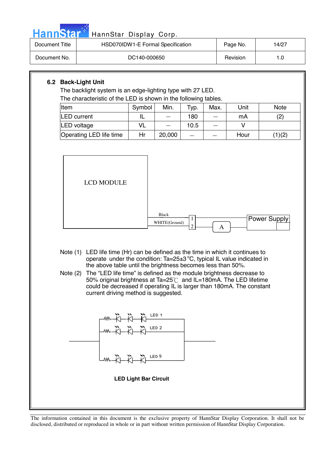| <b>HannStar</b>                                                                                                                                                                                                                                                                                                                                                                                                                                                                                                                                                                                                                                                                                                                                                                                                                                                                                                  | HannStar Display Corp.                                                                                                        |        |                                   |      |      |          |             |
|------------------------------------------------------------------------------------------------------------------------------------------------------------------------------------------------------------------------------------------------------------------------------------------------------------------------------------------------------------------------------------------------------------------------------------------------------------------------------------------------------------------------------------------------------------------------------------------------------------------------------------------------------------------------------------------------------------------------------------------------------------------------------------------------------------------------------------------------------------------------------------------------------------------|-------------------------------------------------------------------------------------------------------------------------------|--------|-----------------------------------|------|------|----------|-------------|
| Document Title                                                                                                                                                                                                                                                                                                                                                                                                                                                                                                                                                                                                                                                                                                                                                                                                                                                                                                   |                                                                                                                               |        | HSD070IDW1-E Formal Specification |      |      | Page No. | 14/27       |
| Document No.                                                                                                                                                                                                                                                                                                                                                                                                                                                                                                                                                                                                                                                                                                                                                                                                                                                                                                     | DC140-000650                                                                                                                  |        |                                   |      |      |          | 1.0         |
| 6.2 Back-Light Unit<br>Item                                                                                                                                                                                                                                                                                                                                                                                                                                                                                                                                                                                                                                                                                                                                                                                                                                                                                      | The backlight system is an edge-lighting type with 27 LED.<br>The characteristic of the LED is shown in the following tables. | Symbol | Min.                              | Typ. | Max. | Unit     | <b>Note</b> |
|                                                                                                                                                                                                                                                                                                                                                                                                                                                                                                                                                                                                                                                                                                                                                                                                                                                                                                                  |                                                                                                                               |        |                                   |      |      |          |             |
|                                                                                                                                                                                                                                                                                                                                                                                                                                                                                                                                                                                                                                                                                                                                                                                                                                                                                                                  |                                                                                                                               |        |                                   |      |      |          |             |
| <b>LED</b> current<br>IL<br>180<br>(2)<br>mA<br>10.5<br>$\vee$<br><b>LED</b> voltage<br>VL<br>Operating LED life time<br>Hr<br>20,000<br>Hour<br>(1)(2)<br><b>LCD MODULE</b><br><b>Black</b><br><b>Power Supply</b><br>$\mathbf{1}$<br>WHITE(Ground)<br>$\overline{2}$<br>A<br>Note (1) LED life time (Hr) can be defined as the time in which it continues to<br>operate under the condition: Ta=25 $\pm$ 3 °C, typical IL value indicated in<br>the above table until the brightness becomes less than 50%.<br>Note (2) The "LED life time" is defined as the module brightness decrease to<br>50% original brightness at Ta=25°C and IL=180mA. The LED lifetime<br>could be decreased if operating IL is larger than 180mA. The constant<br>current driving method is suggested.<br><u> ᄴ我书也</u><br>ᄴ᠊ᡭᡰ᠊᠊ᡭᡰ᠆ᡭᡰ᠊᠊᠊᠊᠊᠊ᢆ<br>$\sum_{k=1}^{\infty}$ LED 9<br>灬 <del>"</del> ѷ⊢҂҅⊢<br><b>LED Light Bar Circuit</b> |                                                                                                                               |        |                                   |      |      |          |             |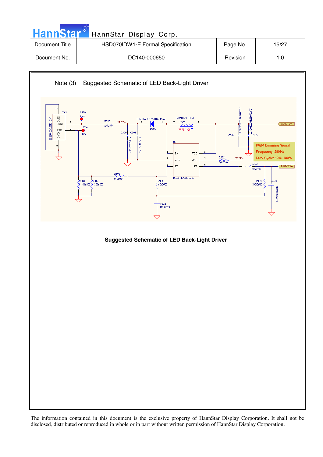| <b>HannStar</b> | HannStar Display Corp.            |          |       |
|-----------------|-----------------------------------|----------|-------|
| Document Title  | HSD070IDW1-E Formal Specification | Page No. | 15/27 |
| Document No.    | DC140-000650                      | Revision | 1.0   |

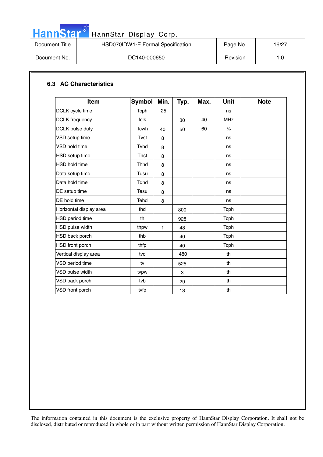

# HannStar<sup>t HannStar Display Corp.</sup>

| Document Title | HSD070IDW1-E Formal Specification | Page No. | 16/27 |
|----------------|-----------------------------------|----------|-------|
| Document No.   | DC140-000650                      | Revision | 1.0   |

# **6.3 AC Characteristics**

| <b>Item</b>             | <b>Symbol</b> | Min. | Typ. | Max. | <b>Unit</b>          | <b>Note</b> |
|-------------------------|---------------|------|------|------|----------------------|-------------|
| DCLK cycle time         | Tcph          | 25   |      |      | ns                   |             |
| <b>DCLK</b> frequency   | fclk          |      | 30   | 40   | <b>MHz</b>           |             |
| DCLK pulse duty         | <b>Tcwh</b>   | 40   | 50   | 60   | $\frac{1}{\sqrt{2}}$ |             |
| VSD setup time          | Tvst          | 8    |      |      | ns                   |             |
| VSD hold time           | Tyhd          | 8    |      |      | ns                   |             |
| HSD setup time          | Thst          | 8    |      |      | ns                   |             |
| <b>HSD hold time</b>    | <b>Thhd</b>   | 8    |      |      | ns                   |             |
| Data setup time         | Tdsu          | 8    |      |      | ns                   |             |
| Data hold time          | <b>Tdhd</b>   | 8    |      |      | ns                   |             |
| DE setup time           | Tesu          | 8    |      |      | ns                   |             |
| DE hold time            | Tehd          | 8    |      |      | ns                   |             |
| Horizontal display area | thd           |      | 800  |      | Tcph                 |             |
| HSD period time         | th            |      | 928  |      | Tcph                 |             |
| HSD pulse width         | thpw          | 1    | 48   |      | Tcph                 |             |
| HSD back porch          | thb           |      | 40   |      | Tcph                 |             |
| <b>HSD</b> front porch  | thfp          |      | 40   |      | Tcph                 |             |
| Vertical display area   | tvd           |      | 480  |      | th                   |             |
| VSD period time         | tv            |      | 525  |      | th                   |             |
| VSD pulse width         | tvpw          |      | 3    |      | th                   |             |
| VSD back porch          | tvb           |      | 29   |      | th                   |             |
| VSD front porch         | tvfp          |      | 13   |      | th                   |             |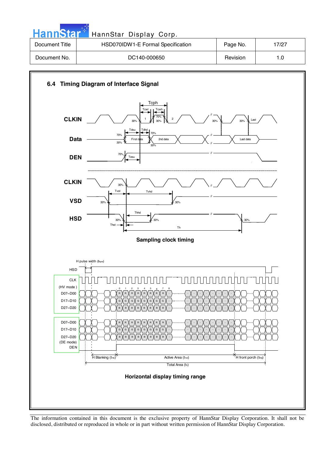| <b>HannStar</b> | HannStar Display Corp.            |          |       |
|-----------------|-----------------------------------|----------|-------|
| Document Title  | HSD070IDW1-E Formal Specification | Page No. | 17/27 |
| Document No.    | DC140-000650                      | Revision | 1.0   |



The information contained in this document is the exclusive property of HannStar Display Corporation. It shall not be disclosed, distributed or reproduced in whole or in part without written permission of HannStar Display Corporation.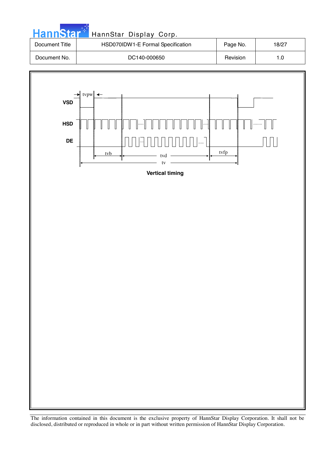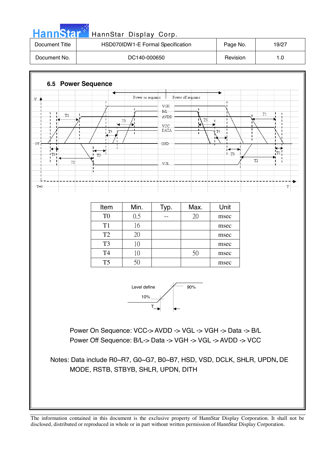

T2

T

| Item           | Min. | Typ. | Max. | Unit |
|----------------|------|------|------|------|
| T0             | 0.5  |      | 20   | msec |
| T1             | l6   |      |      | msec |
| T <sub>2</sub> | 20   |      |      | msec |
| T <sub>3</sub> |      |      |      | msec |
| T4             |      |      |      | msec |
| T <sub>5</sub> |      |      |      | msec |

 $\rm VGL$ 

 $T3$ 

 $T<sub>2</sub>$ 

 $T=0$ 



Power On Sequence: VCC-> AVDD -> VGL -> VGH -> Data -> B/L Power Off Sequence: B/L-> Data -> VGH -> VGL -> AVDD -> VCC

Notes: Data include R0~R7, G0~G7, B0~B7, HSD, VSD, DCLK, SHLR, UPDN**,** DE MODE, RSTB, STBYB, SHLR, UPDN, DITH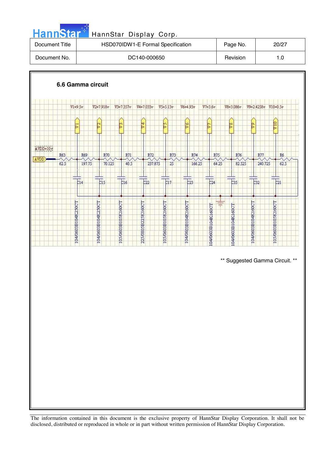| <b>HannStar</b> 1 | HannStar Display Corp.            |          |       |
|-------------------|-----------------------------------|----------|-------|
| Document Title    | HSD070IDW1-E Formal Specification | Page No. | 20/27 |
| Document No.      | DC140-000650                      | Revision | 1.0   |
|                   |                                   |          |       |

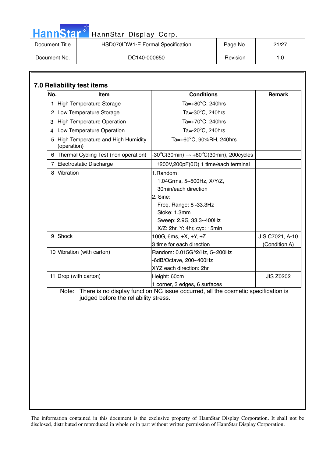| <b>HannStar</b> * | HannStar Display Corp.            |          |       |
|-------------------|-----------------------------------|----------|-------|
| Document Title    | HSD070IDW1-E Formal Specification | Page No. | 21/27 |
| Document No.      | DC140-000650                      | Revision | 1.0   |

m.

| No.            | <b>Item</b>                                       | <b>Conditions</b>                                  | <b>Remark</b>    |
|----------------|---------------------------------------------------|----------------------------------------------------|------------------|
|                | <b>High Temperature Storage</b>                   | Ta= $+80^{\circ}$ C, 240hrs                        |                  |
| $\overline{2}$ | Low Temperature Storage                           | Ta= $-30^{\circ}$ C, 240hrs                        |                  |
| 3              | <b>High Temperature Operation</b>                 | Ta=+70 $\mathrm{^{\circ}C}$ , 240hrs               |                  |
| 4              | Low Temperature Operation                         | Ta=-20°C, 240hrs                                   |                  |
| 5              | High Temperature and High Humidity<br>(operation) | Ta=+60°C, 90%RH, 240hrs                            |                  |
| 6              | Thermal Cycling Test (non operation)              | -30°C(30min) $\rightarrow$ +80°C(30min), 200cycles |                  |
| 7              | Electrostatic Discharge                           | $\pm$ 200V,200pF(0 $\Omega$ ) 1 time/each terminal |                  |
| 8              | Vibration                                         | 1.Random:                                          |                  |
|                |                                                   | 1.04Grms, 5~500Hz, X/Y/Z,                          |                  |
|                |                                                   | 30min/each direction                               |                  |
|                |                                                   | 2. Sine:                                           |                  |
|                |                                                   | Freq. Range: 8~33.3Hz                              |                  |
|                |                                                   | Stoke: 1.3mm                                       |                  |
|                |                                                   | Sweep: 2.9G, 33.3~400Hz                            |                  |
|                |                                                   | X/Z: 2hr, Y: 4hr, cyc: 15min                       |                  |
| 9              | Shock                                             | 100G, 6ms, ±X, ±Y, ±Z                              | JIS C7021, A-10  |
|                |                                                   | 3 time for each direction                          | (Condition A)    |
|                | 10 Vibration (with carton)                        | Random: 0.015G^2/Hz, 5~200Hz                       |                  |
|                |                                                   | -6dB/Octave, 200~400Hz                             |                  |
|                |                                                   | XYZ each direction: 2hr                            |                  |
|                | 11 Drop (with carton)                             | Height: 60cm                                       | <b>JIS Z0202</b> |
|                |                                                   | 1 corner, 3 edges, 6 surfaces                      |                  |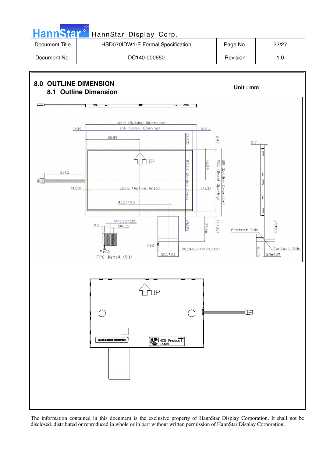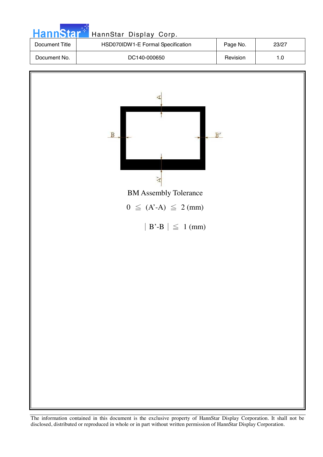| <b>HannStar</b> <sup>+1</sup> | HannStar Display Corp.            |          |       |
|-------------------------------|-----------------------------------|----------|-------|
| Document Title                | HSD070IDW1-E Formal Specification | Page No. | 23/27 |
| Document No.                  | DC140-000650                      | Revision | 1.0   |
|                               |                                   |          |       |

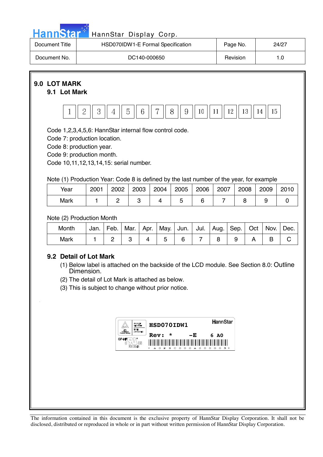| HannStar <sup>4</sup><br>HannStar Display Corp.                                                                                                                                                                                                                                                                                      |                                                                                                                                                                                                                               |                        |                                                                                    |                        |                                        |                                      |                                                            |                               |           |          |           |                     |
|--------------------------------------------------------------------------------------------------------------------------------------------------------------------------------------------------------------------------------------------------------------------------------------------------------------------------------------|-------------------------------------------------------------------------------------------------------------------------------------------------------------------------------------------------------------------------------|------------------------|------------------------------------------------------------------------------------|------------------------|----------------------------------------|--------------------------------------|------------------------------------------------------------|-------------------------------|-----------|----------|-----------|---------------------|
| Document Title                                                                                                                                                                                                                                                                                                                       |                                                                                                                                                                                                                               |                        |                                                                                    |                        |                                        | HSD070IDW1-E Formal Specification    |                                                            |                               | Page No.  |          |           | 24/27               |
| Document No.                                                                                                                                                                                                                                                                                                                         |                                                                                                                                                                                                                               | DC140-000650           |                                                                                    |                        |                                        |                                      |                                                            |                               |           | Revision |           | 1.0                 |
| 9.0 LOT MARK<br>9.1 Lot Mark<br>$\mathbf{1}$<br>Code 1,2,3,4,5,6: HannStar internal flow control code.<br>Code 7: production location.<br>Code 8: production year.<br>Code 9: production month.<br>Code 10,11,12,13,14,15: serial number.<br>Note (1) Production Year: Code 8 is defined by the last number of the year, for example | $\overline{2}$<br>3                                                                                                                                                                                                           | $\overline{4}$         | 5                                                                                  | 6                      | 7                                      | 8<br>9                               | 10 <sup>°</sup>                                            | 11                            | 12        | 13       | 15<br>14  |                     |
| Year                                                                                                                                                                                                                                                                                                                                 | 2001                                                                                                                                                                                                                          | 2002                   | 2003                                                                               |                        | 2004                                   | 2005                                 | 2006                                                       | 2007                          |           | 2008     | 2009      | 2010                |
| Mark                                                                                                                                                                                                                                                                                                                                 | $\mathbf{1}$                                                                                                                                                                                                                  | $\overline{2}$         |                                                                                    | 3                      | $\overline{4}$                         | 5                                    | 6                                                          | $\overline{7}$                |           | 8        | 9         | $\mathbf 0$         |
| Note (2) Production Month<br>Month<br><b>Mark</b><br>9.2 Detail of Lot Mark                                                                                                                                                                                                                                                          | Jan.<br>1<br>(1) Below label is attached on the backside of the LCD module. See Section 8.0: Outline<br>Dimension.<br>(2) The detail of Lot Mark is attached as below.<br>(3) This is subject to change without prior notice. | Feb.<br>$\overline{2}$ | Mar.<br>3<br>Baliart<br>Geboort<br>TWE<br><i><b>APPROVED</b></i><br><b>E212246</b> | Apr.<br>$\overline{4}$ | May.<br>5<br>HSD070IDW1<br><b>Rev:</b> | Jun.<br>6<br>c<br>$\circ$<br>$\circ$ | Jul.<br>$\overline{7}$<br>-Е<br>$\circ$<br>$\circ$ $\circ$ | Aug.<br>8<br>HannStar<br>6 AO | Sep.<br>9 | Oct<br>A | Nov.<br>B | Dec.<br>$\mathsf C$ |
|                                                                                                                                                                                                                                                                                                                                      |                                                                                                                                                                                                                               |                        |                                                                                    |                        |                                        |                                      |                                                            |                               |           |          |           |                     |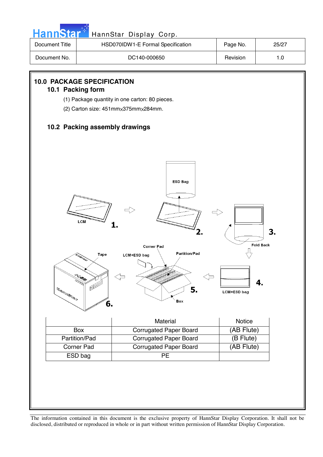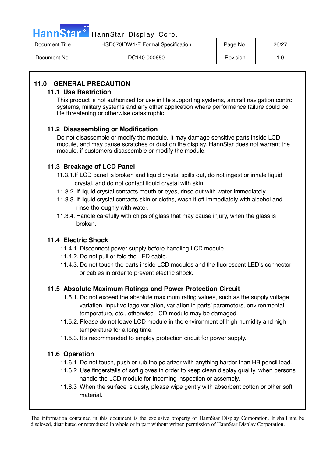| <b>anns</b> |  |
|-------------|--|
|-------------|--|

# annStar Display Corp.

| Document Title | HSD070IDW1-E Formal Specification | Page No. | 26/27 |
|----------------|-----------------------------------|----------|-------|
| Document No.   | DC140-000650                      | Revision | 1.0   |

# **11.0 GENERAL PRECAUTION**

# **11.1 Use Restriction**

This product is not authorized for use in life supporting systems, aircraft navigation control systems, military systems and any other application where performance failure could be life threatening or otherwise catastrophic.

# **11.2 Disassembling or Modification**

 Do not disassemble or modify the module. It may damage sensitive parts inside LCD module, and may cause scratches or dust on the display. HannStar does not warrant the module, if customers disassemble or modify the module.

# **11.3 Breakage of LCD Panel**

- 11.3.1.If LCD panel is broken and liquid crystal spills out, do not ingest or inhale liquid crystal, and do not contact liquid crystal with skin.
- 11.3.2. If liquid crystal contacts mouth or eyes, rinse out with water immediately.
- 11.3.3. If liquid crystal contacts skin or cloths, wash it off immediately with alcohol and rinse thoroughly with water.
- 11.3.4. Handle carefully with chips of glass that may cause injury, when the glass is broken.

# **11.4 Electric Shock**

- 11.4.1. Disconnect power supply before handling LCD module.
- 11.4.2. Do not pull or fold the LED cable.
- 11.4.3. Do not touch the parts inside LCD modules and the fluorescent LED's connector or cables in order to prevent electric shock.

# **11.5 Absolute Maximum Ratings and Power Protection Circuit**

- 11.5.1. Do not exceed the absolute maximum rating values, such as the supply voltage variation, input voltage variation, variation in parts' parameters, environmental temperature, etc., otherwise LCD module may be damaged.
- 11.5.2. Please do not leave LCD module in the environment of high humidity and high temperature for a long time.
- 11.5.3. It's recommended to employ protection circuit for power supply.

# **11.6 Operation**

- 11.6.1 Do not touch, push or rub the polarizer with anything harder than HB pencil lead.
- 11.6.2 Use fingerstalls of soft gloves in order to keep clean display quality, when persons handle the LCD module for incoming inspection or assembly.
- 11.6.3 When the surface is dusty, please wipe gently with absorbent cotton or other soft material.